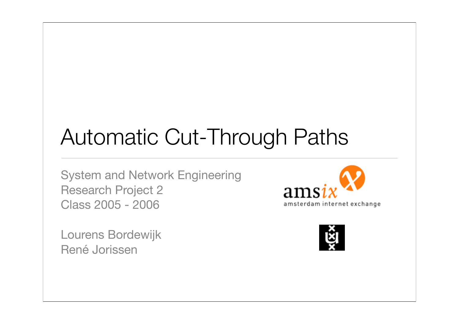# Automatic Cut-Through Paths

System and Network Engineering Research Project 2 Class 2005 - 2006

Lourens Bordewijk René Jorissen



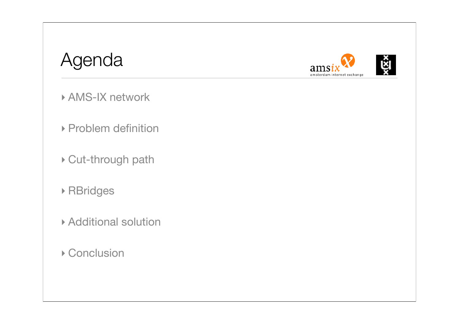### Agenda





- ‣ AMS-IX network
- ‣ Problem definition
- ‣ Cut-through path
- ‣ RBridges
- ‣ Additional solution
- ▶ Conclusion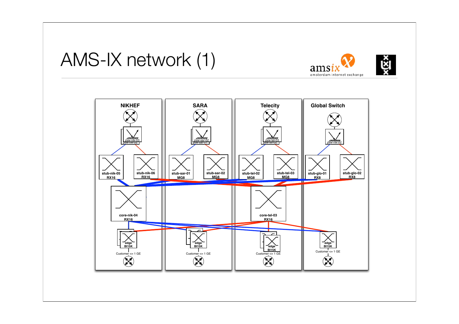



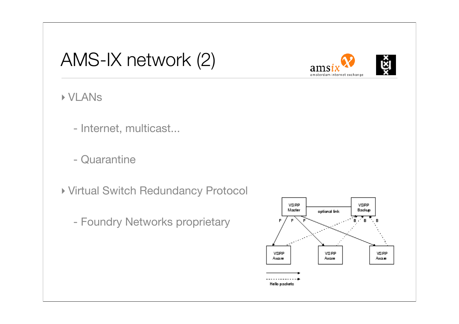## AMS-IX network (2)





#### ‣ VLANs

- Internet, multicast...
- Quarantine
- ‣ Virtual Switch Redundancy Protocol
	- Foundry Networks proprietary

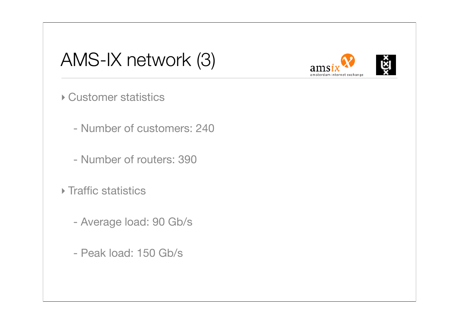## AMS-IX network (3)



‣ Customer statistics

- Number of customers: 240

- Number of routers: 390

‣ Traffic statistics

- Average load: 90 Gb/s

- Peak load: 150 Gb/s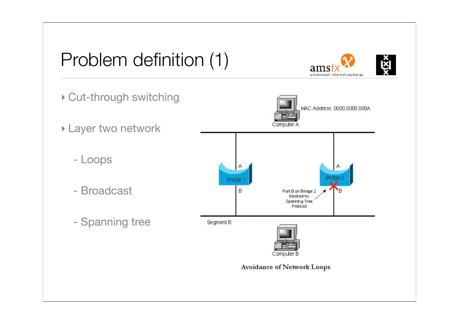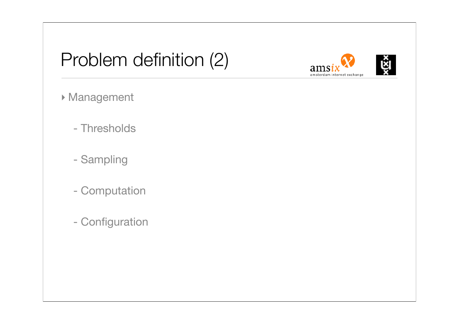## Problem definition (2)



- ‣ Management
	- Thresholds
	- Sampling
	- Computation
	- Configuration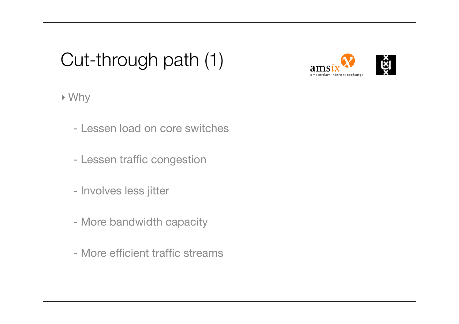## Cut-through path (1)





#### ‣ Why

- Lessen load on core switches
- Lessen traffic congestion
- Involves less jitter
- More bandwidth capacity
- More efficient traffic streams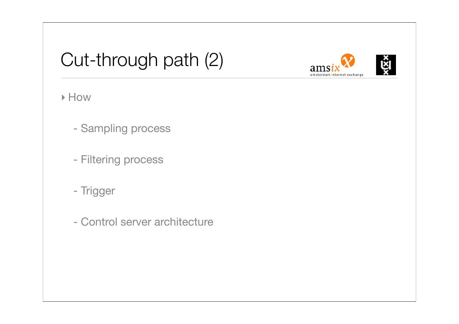## Cut-through path (2)





#### ‣ How

- Sampling process
- Filtering process
- Trigger
- Control server architecture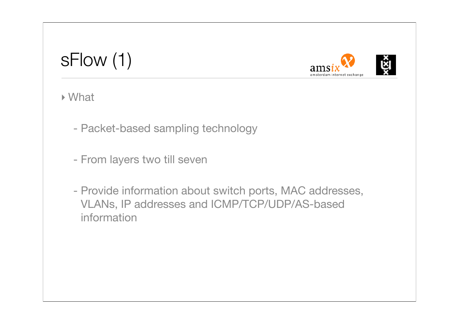## sFlow (1)



‣ What

- Packet-based sampling technology
- From layers two till seven
- Provide information about switch ports, MAC addresses, VLANs, IP addresses and ICMP/TCP/UDP/AS-based information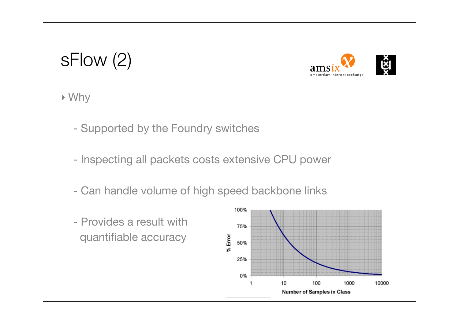#### sFlow (2)



‣ Why

- Supported by the Foundry switches
- Inspecting all packets costs extensive CPU power
- Can handle volume of high speed backbone links
- Provides a result with quantifiable accuracy

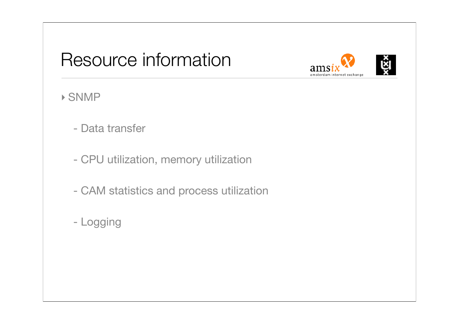## Resource information



#### ‣ SNMP

- Data transfer
- CPU utilization, memory utilization
- CAM statistics and process utilization
- Logging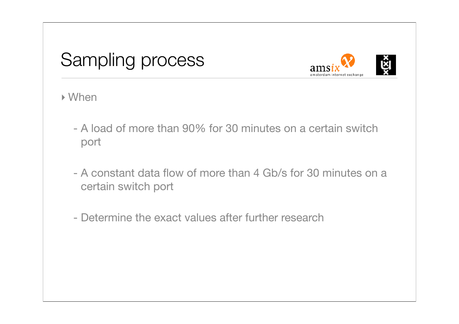## Sampling process



‣ When

- A load of more than 90% for 30 minutes on a certain switch port
- A constant data flow of more than 4 Gb/s for 30 minutes on a certain switch port
- Determine the exact values after further research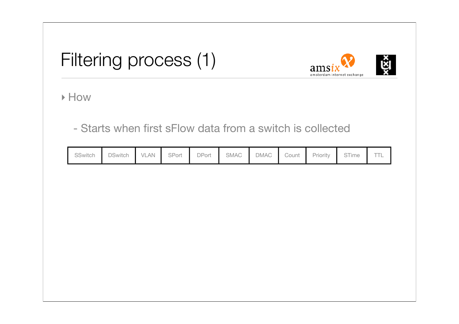## Filtering process (1)



‣ How

- Starts when first sFlow data from a switch is collected

| SSwitch | <b>DSwitch</b> | <b>VLAN</b> | SPort | DPort | SMAC | <b>DMAC</b> | Count | Priority | STime | <b>TTL</b> |
|---------|----------------|-------------|-------|-------|------|-------------|-------|----------|-------|------------|
|         |                |             |       |       |      |             |       |          |       |            |
|         |                |             |       |       |      |             |       |          |       |            |
|         |                |             |       |       |      |             |       |          |       |            |
|         |                |             |       |       |      |             |       |          |       |            |
|         |                |             |       |       |      |             |       |          |       |            |
|         |                |             |       |       |      |             |       |          |       |            |
|         |                |             |       |       |      |             |       |          |       |            |
|         |                |             |       |       |      |             |       |          |       |            |
|         |                |             |       |       |      |             |       |          |       |            |
|         |                |             |       |       |      |             |       |          |       |            |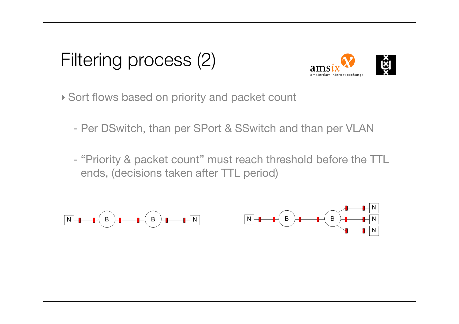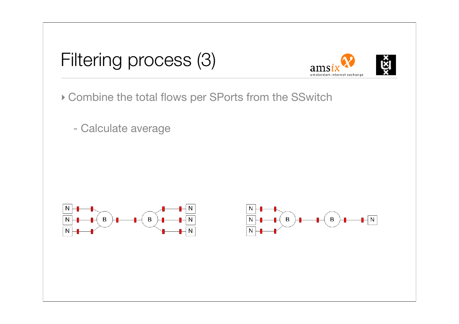



‣ Combine the total flows per SPorts from the SSwitch

- Calculate average



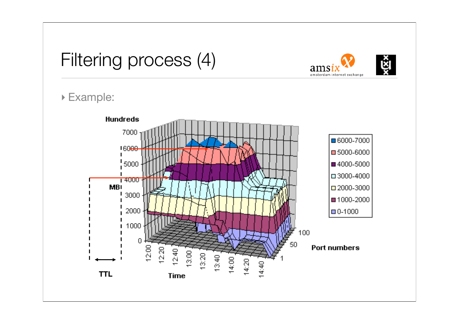### Filtering process (4)





ams

amsterdam internet exchange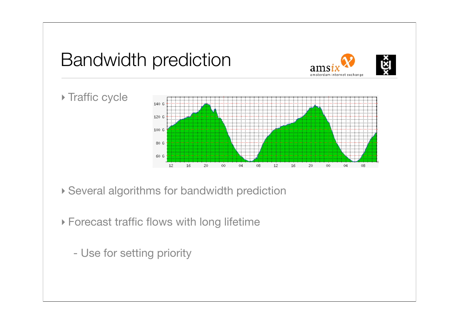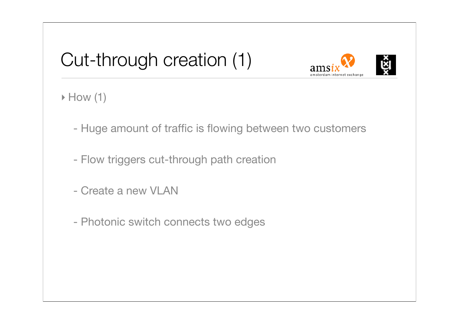## Cut-through creation (1)



 $\triangleright$  How (1)

- Huge amount of traffic is flowing between two customers
- Flow triggers cut-through path creation
- Create a new VLAN
- Photonic switch connects two edges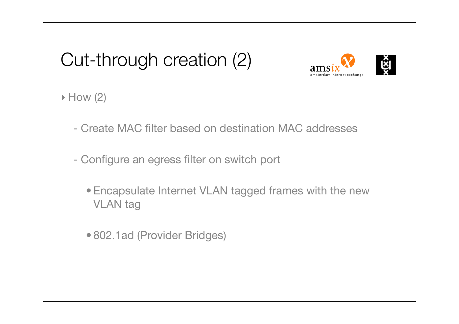## Cut-through creation (2)



 $\triangleright$  How (2)

- Create MAC filter based on destination MAC addresses
- Configure an egress filter on switch port
	- Encapsulate Internet VLAN tagged frames with the new VLAN tag
	- 802.1ad (Provider Bridges)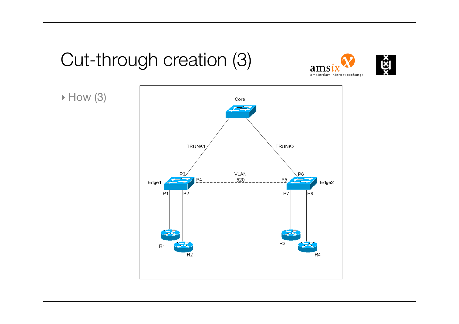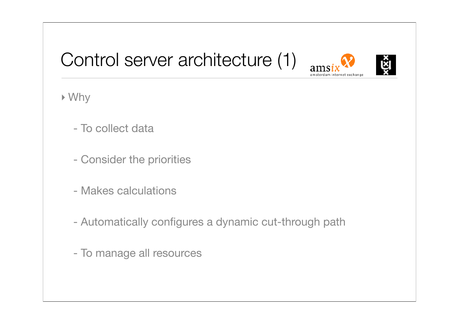## Control server architecture (1)





‣ Why

- To collect data
- Consider the priorities
- Makes calculations
- Automatically configures a dynamic cut-through path
- To manage all resources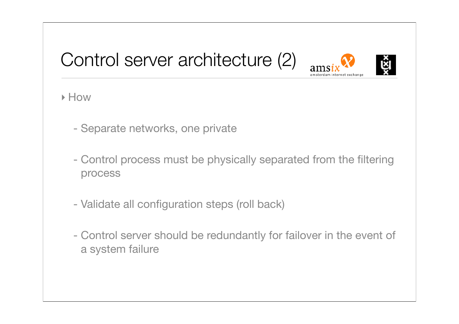## Control server architecture (2)





#### ‣ How

- Separate networks, one private
- Control process must be physically separated from the filtering process
- Validate all configuration steps (roll back)
- Control server should be redundantly for failover in the event of a system failure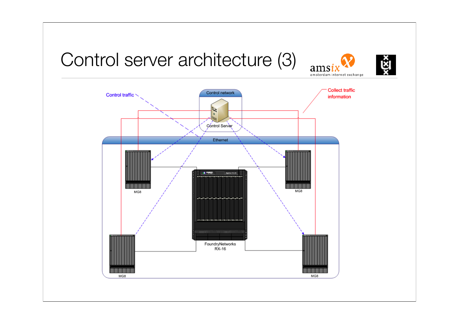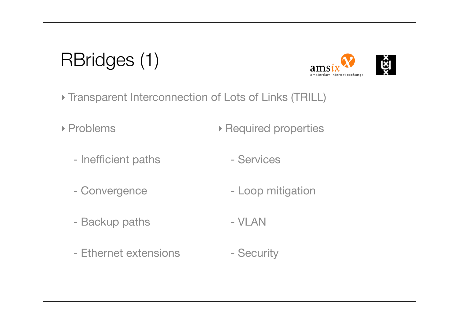## RBridges (1)



- ‣ Transparent Interconnection of Lots of Links (TRILL)
- ▶ Problems ‣ Required properties
	- Inefficient paths - Services
	- Convergence - Loop mitigation
	- Backup paths - VLAN
	- Ethernet extensions - Security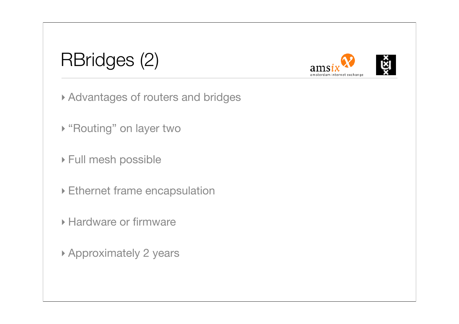## RBridges (2)





- ▶ "Routing" on layer two
- ‣ Full mesh possible
- ‣ Ethernet frame encapsulation
- ‣ Hardware or firmware
- ‣ Approximately 2 years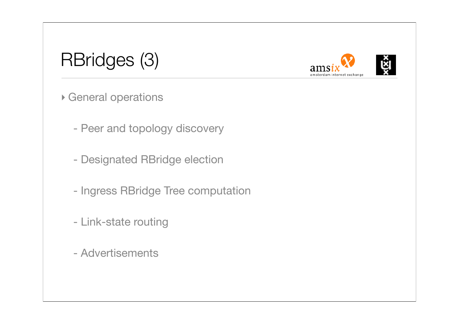## RBridges (3)





- ‣ General operations
	- Peer and topology discovery
	- Designated RBridge election
	- Ingress RBridge Tree computation
	- Link-state routing
	- Advertisements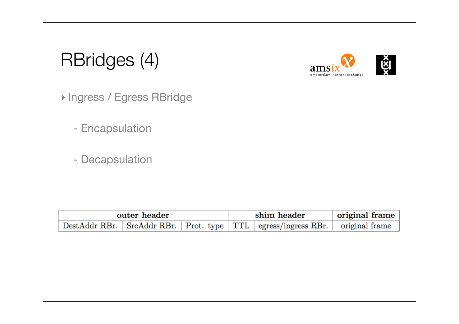| RBridges (4) |  |
|--------------|--|
|              |  |





‣ Ingress / Egress RBridge

- Encapsulation

- Decapsulation

| outer header |  |  |  | shim header                                                                            | original frame |  |
|--------------|--|--|--|----------------------------------------------------------------------------------------|----------------|--|
|              |  |  |  | DestAddr RBr.   SrcAddr RBr.   Prot. type   TTL   egress/ingress RBr.   original frame |                |  |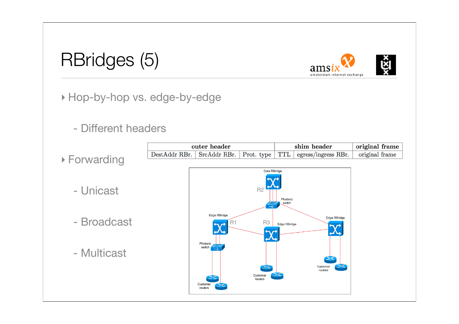#### RBridges (5)





‣ Hop-by-hop vs. edge-by-edge

#### - Different headers

- ‣ Forwarding
	- Unicast
	- Broadcast
	- Multicast



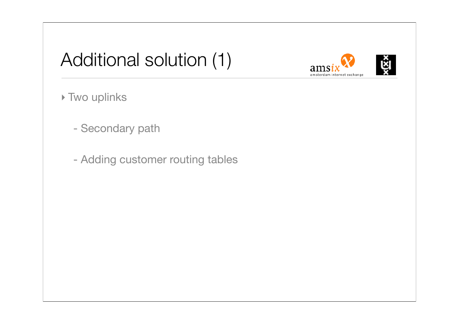## Additional solution (1)





- Secondary path
- Adding customer routing tables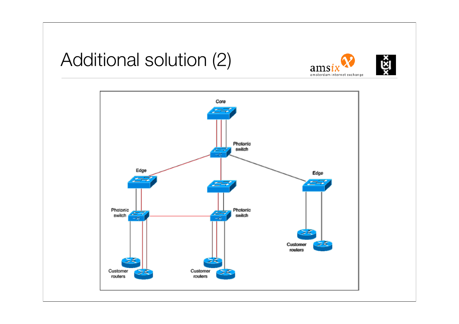### Additional solution (2)





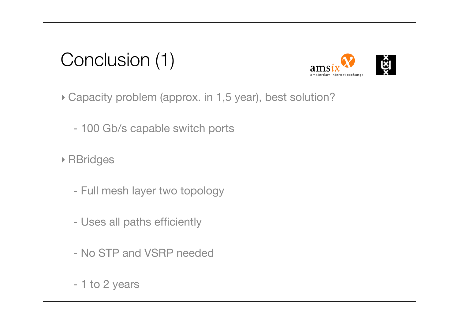



‣ Capacity problem (approx. in 1,5 year), best solution?

- 100 Gb/s capable switch ports

‣ RBridges

- Full mesh layer two topology
- Uses all paths efficiently
- No STP and VSRP needed
- 1 to 2 years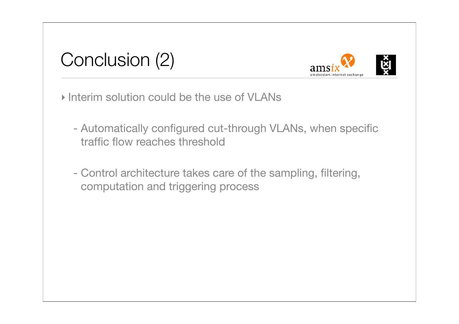



‣ Interim solution could be the use of VLANs

- Automatically configured cut-through VLANs, when specific traffic flow reaches threshold
- Control architecture takes care of the sampling, filtering, computation and triggering process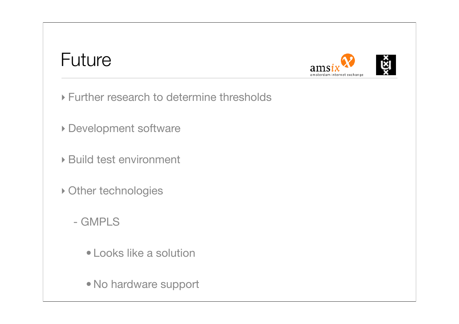#### Future



- ‣ Further research to determine thresholds
- ‣ Development software
- ‣ Build test environment
- ‣ Other technologies
	- GMPLS
		- Looks like a solution
		- No hardware support